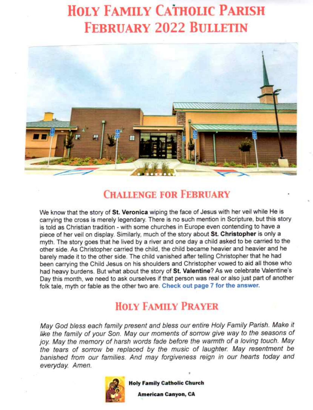# **HOLY FAMILY CATHOLIC PARISH FEBRUARY 2022 BULLETIN**



# **CHALLENGE FOR FEBRUARY**

We know that the story of St. Veronica wiping the face of Jesus with her veil while He is carrying the cross is merely legendary. There is no such mention in Scripture, but this story is told as Christian tradition - with some churches in Europe even contending to have a piece of her veil on display. Similarly, much of the story about St. Christopher is only a myth. The story goes that he lived by a river and one day a child asked to be carried to the other side. As Christopher carried the child, the child became heavier and heavier and he barely made it to the other side. The child vanished after telling Christopher that he had been carrying the Child Jesus on his shoulders and Christopher vowed to aid all those who had heavy burdens. But what about the story of St. Valentine? As we celebrate Valentine's Day this month, we need to ask ourselves if that person was real or also just part of another folk tale, myth or fable as the other two are. Check out page 7 for the answer.

# **HOLY FAMILY PRAYER**

May God bless each family present and bless our entire Holy Family Parish. Make it like the family of your Son. May our moments of sorrow give way to the seasons of joy. May the memory of harsh words fade before the warmth of a loving touch. May the tears of sorrow be replaced by the music of laughter. May resentment be banished from our families. And may forgiveness reign in our hearts today and everyday. Amen.



**Holy Family Catholic Church** 

**American Canyon, CA**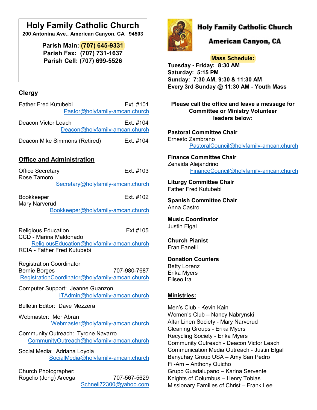# **Holy Family Catholic Church**

**200 Antonina Ave., American Canyon, CA 94503**

**Parish Main: (707) 645-9331 Parish Fax: (707) 731-1637 Parish Cell: (707) 699-5526**

### **Clergy**

| <b>Father Fred Kutubebi</b>                           | Ext. #101 |
|-------------------------------------------------------|-----------|
| Pastor@holyfamily-amcan.church                        |           |
| Deacon Victor Leach<br>Deacon@holyfamily-amcan.church | Ext. #104 |
| Deacon Mike Simmons (Retired)                         | Ext. #104 |

### **Office and Administration**

| <b>Office Secretary</b>              | Ext. #103                                       |
|--------------------------------------|-------------------------------------------------|
| Rose Tamoro                          |                                                 |
|                                      | Secretary@holyfamily-amcan.church               |
| Bookkeeper                           | Ext. #102                                       |
| <b>Mary Narverud</b>                 |                                                 |
|                                      | Bookkeeper@holyfamily-amcan.church              |
|                                      |                                                 |
| <b>Religious Education</b>           | Ext #105                                        |
| <b>CCD - Marina Maldonado</b>        |                                                 |
|                                      | ReligiousEducation@holyfamily-amcan.church      |
| <b>RCIA - Father Fred Kutubebi</b>   |                                                 |
|                                      |                                                 |
| <b>Registration Coordinator</b>      |                                                 |
| <b>Bernie Borges</b>                 | 707-980-7687                                    |
|                                      | RegistrationCoordinator@holyfamily-amcan.church |
| Computer Support: Jeanne Guanzon     |                                                 |
|                                      | ITAdmin@holyfamily-amcan.church                 |
| <b>Bulletin Editor: Dave Mezzera</b> |                                                 |
| Webmaster: Mer Abran                 |                                                 |
|                                      | Webmaster@holyfamily-amcan.church               |
| Community Outreach: Tyrone Navarro   |                                                 |
|                                      | CommunityOutreach@holyfamily-amcan.church       |
| Social Media: Adriana Loyola         |                                                 |
|                                      | SocialMedia@holyfamily-amcan.church             |
|                                      |                                                 |
| Church Photographer:                 |                                                 |
| Rogelio (Jong) Arcega                | 707-567-5629                                    |
|                                      | Schnell72300@yahoo.com                          |



## **Holy Family Catholic Church**

## American Canyon, CA

**Mass Schedule: Tuesday - Friday: 8:30 AM Saturday: 5:15 PM Sunday: 7:30 AM, 9:30 & 11:30 AM Every 3rd Sunday @ 11:30 AM - Youth Mass**

**Please call the office and leave a message for Committee or Ministry Volunteer leaders below:** 

**Pastoral Committee Chair** Ernesto Zambrano [PastoralCouncil@holyfamily-amcan.church](mailto:PastoralCouncil@holyfamily-amcan.church)

**Finance Committee Chair**  Zenaida Alejandrino [FinanceCouncil@holyfamily-amcan.church](mailto:FinanceCouncil@holyfamily-amcan.church)

**Liturgy Committee Chair**  Father Fred Kutubebi

**Spanish Committee Chair**  Anna Castro

**Music Coordinator** Justin Elgal

**Church Pianist** Fran Fanelli

**Donation Counters** 

Betty Lorenz Erika Myers Eliseo Ira

#### **Ministries:**

Men's Club - Kevin Kain Women's Club – Nancy Nabrynski Altar Linen Society - Mary Narverud Cleaning Groups - Erika Myers Recycling Society - Erika Myers Community Outreach - Deacon Victor Leach Communication Media Outreach - Justin Elgal Banyuhay Group USA – Amy San Pedro Fil-Am – Anthony Quicho Grupo Guadalupano – Karina Servente Knights of Columbus – Henry Tobias Missionary Families of Christ – Frank Lee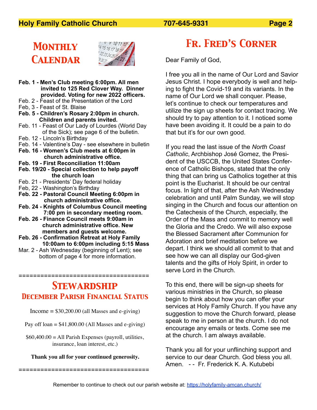## **Holy Family Catholic Church 707-645-9331 Page 2**

# *Monthly Calendar*



- **Feb. 1 Men's Club meeting 6:00pm. All men invited to 125 Red Clover Way. Dinner provided. Voting for new 2022 officers.**
- Feb. 2 Feast of the Presentation of the Lord
- Feb, 3 Feast of St. Blaise
- **Feb. 5 Children's Rosary 2:00pm in church. Children and parents invited.**
- Feb. 11 Feast of Our Lady of Lourdes (World Day of the Sick); see page 6 of the bulletin.
- Feb. 12 Lincoln's Birthday
- Feb. 14 Valentine's Day see elsewhere in bulletin
- **Feb. 16 Women's Club meets at 6:00pm in**
- **church administrative office. Feb. 19 - First Reconciliation 11:00am**
- **Feb. 19/20 Special collection to help payoff the church loan**
- Feb. 21 Presidents' Day federal holiday
- Feb, 22 Washington's Birthday
- **Feb. 22 Pastoral Council Meeting 6:00pm in church administrative office.**
- **Feb. 24 Knights of Columbus Council meeting 7:00 pm in secondary meeting room.**
- **Feb. 26 Finance Council meets 9:00am in church administrative office. New members and guests welcome.**
- **Feb. 26 Confirmation Retreat at Holy Family 10:00am to 6:00pm including 5:15 Mass**
- Mar. 2 Ash Wednesday (beginning of Lent); see bottom of page 4 for more information.

# *Stewardship December Parish Financial Status*

====================================

Income  $= $30,200.00$  (all Masses and e-giving)

- Pay off loan =  $$41,800.00$  (All Masses and e-giving)
- $$60,400.00 =$  All Parish Expenses (payroll, utilities, insurance, loan interest, etc.)

#### **Thank you all for your continued generosity.**

====================================

*Fr. Fred's Corner*

Dear Family of God,

I free you all in the name of Our Lord and Savior Jesus Christ. I hope everybody is well and helping to fight the Covid-19 and its variants. In the name of Our Lord we shall conquer. Please, let's continue to check our temperatures and utilize the sign up sheets for contact tracing. We should try to pay attention to it. I noticed some have been avoiding it. It could be a pain to do that but it's for our own good.

If you read the last issue of the *North Coast Catholic*, Archbishop José Gomez, the President of the USCCB, the United States Conference of Catholic Bishops, stated that the only thing that can bring us Catholics together at this point is the Eucharist. It should be our central focus. In light of that, after the Ash Wednesday celebration and until Palm Sunday, we will stop singing in the Church and focus our attention on the Catechesis of the Church, especially, the Order of the Mass and commit to memory well the Gloria and the Credo. We will also expose the Blessed Sacrament after Communion for Adoration and brief meditation before we depart. I think we should all commit to that and see how we can all display our God-given talents and the gifts of Holy Spirit, in order to serve Lord in the Church.

To this end, there will be sign-up sheets for various ministries in the Church, so please begin to think about how you can offer your services at Holy Family Church. If you have any suggestion to move the Church forward, please speak to me in person at the church. I do not encourage any emails or texts. Come see me at the church. I am always available.

Thank you all for your unflinching support and service to our dear Church. God bless you all. Amen. - - Fr. Frederick K. A. Kutubebi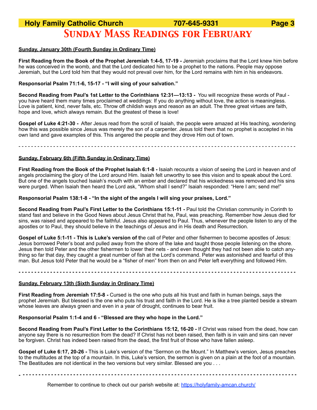# **Holy Family Catholic Church 707-645-9331 Page 3** *Sunday Mass Readings for February*

#### **Sunday, January 30th (Fourth Sunday in Ordinary Time)**

**First Reading from the Book of the Prophet Jeremiah 1:4-5, 17-19 -** Jeremiah proclaims that the Lord knew him before he was conceived in the womb, and that the Lord dedicated him to be a prophet to the nations. People may oppose Jeremiah, but the Lord told him that they would not prevail over him, for the Lord remains with him in his endeavors.

#### **Responsorial Psalm 71:1-6, 15-17 - "I will sing of your salvation."**

**Second Reading from Paul's 1st Letter to the Corinthians 12:31—13:13 -** You will recognize these words of Paul you have heard them many times proclaimed at weddings: If you do anything without love, the action is meaningless. Love is patient, kind, never fails, etc. Throw off childish ways and reason as an adult. The three great virtues are faith, hope and love, which always remain. But the greatest of these is love!

**Gospel of Luke 4:21-30 -** After Jesus read from the scroll of Isaiah, the people were amazed at His teaching, wondering how this was possible since Jesus was merely the son of a carpenter. Jesus told them that no prophet is accepted in his own land and gave examples of this. This angered the people and they drove Him out of town.

- - - - - - - - - - - - - - - - - - - - - - - - - - - - - - - - - - - - - - - - - - - - - - - - - - - - - - - - - - - - - - - - - - - - - - - - - - - - - - - - - - - - - - - -

#### **Sunday, February 6th (Fifth Sunday in Ordinary Time)**

**First Reading from the Book of the Prophet Isaiah 6:1-8 -** Isaiah recounts a vision of seeing the Lord in heaven and of angels proclaiming the glory of the Lord around Him. Isaiah felt unworthy to see this vision and to speak about the Lord. But one of the angels touched Isaiah's mouth with an ember and declared that his wickedness was removed and his sins were purged. When Isaiah then heard the Lord ask, "Whom shall I send?" Isaiah responded: "Here I am; send me!"

#### **Responsorial Psalm 138:1-8 - "In the sight of the angels I will sing your praises, Lord."**

**Second Reading from Paul's First Letter to the Corinthians 15:1-11 - Paul told the Christian community in Corinth to** stand fast and believe in the Good News about Jesus Christ that he, Paul, was preaching. Remember how Jesus died for sins, was raised and appeared to the faithful. Jesus also appeared to Paul. Thus, whenever the people listen to any of the apostles or to Paul, they should believe in the teachings of Jesus and in His death and Resurrection.

**Gospel of Luke 5:1-11 - This is Luke's version of t**he call of Peter and other fishermen to become apostles of Jesus: Jesus borrowed Peter's boat and pulled away from the shore of the lake and taught those people listening on the shore. Jesus then told Peter and the other fishermen to lower their nets - and even thought they had not been able to catch anything so far that day, they caught a great number of fish at the Lord's command. Peter was astonished and fearful of this man. But Jesus told Peter that he would be a "fisher of men" from then on and Peter left everything and followed Him.

**- - - - - - - - - - - - - - - - - - - - - - - - - - - - - - - - - - - - - - - - - - - - - - - - - - - - - - - - - - - - - - - - - - - - - - - - - - - - - - - - - - - - - - - -**

#### **Sunday, February 13th (Sixth Sunday in Ordinary Time)**

**First Reading from Jeremiah 17:5-8 -** Cursed is the one who puts all his trust and faith in human beings, says the prophet Jeremiah. But blessed is the one who puts his trust and faith in the Lord. He is like a tree planted beside a stream whose leaves are always green and even in a year of drought, continues to bear fruit.

#### **Responsorial Psalm 1:1-4 and 6 - "Blessed are they who hope in the Lord."**

**Second Reading from Paul's First Letter to the Corinthians 15:12, 16-20 -** If Christ was raised from the dead, how can anyone say there is no resurrection from the dead? If Christ has not been raised, then faith is in vain and sins can never be forgiven. Christ has indeed been raised from the dead, the first fruit of those who have fallen asleep.

**Gospel of Luke 6:17, 20-26 -** This is Luke's version of the "Sermon on the Mount." In Matthew's version, Jesus preaches to the multitudes at the top of a mountain. In this, Luke's version, the sermon is given on a plain at the foot of a mountain. The Beatitudes are not identical in the two versions but very similar. Blessed are you . . .

**- - - - - - - - - - - - - - - - - - - - - - - - - - - - - - - - - - - - - - - - - - - - - - - - - - - - - - - - - - - - - - - - - - - - - - - - - - - - - - - - - - - - - - - -** 

Remember to continue to check out our parish website at: https://holyfamily-amcan.church/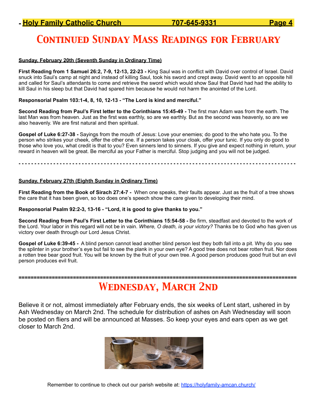# *Continued Sunday Mass Readings for February*

#### **Sunday, February 20th (Seventh Sunday in Ordinary Time)**

**First Reading from 1 Samuel 26:2, 7-9, 12-13, 22-23 -** King Saul was in conflict with David over control of Israel. David snuck into Saul's camp at night and instead of killing Saul, took his sword and crept away. David went to an opposite hill and called for Saul's attendants to come and retrieve the sword which would show Saul that David had had the ability to kill Saul in his sleep but that David had spared him because he would not harm the anointed of the Lord.

#### **Responsorial Psalm 103:1-4, 8, 10, 12-13 - "The Lord is kind and merciful."**

**Second Reading from Paul's First letter to the Corinthians 15:45-49 -** The first man Adam was from the earth. The last Man was from heaven. Just as the first was earthly, so are we earthly. But as the second was heavenly, so are we also heavenly. We are first natural and then spiritual.

**Gospel of Luke 6:27-38 -** Sayings from the mouth of Jesus: Love your enemies; do good to the who hate you. To the person who strikes your cheek, offer the other one. If a person takes your cloak, offer your tunic. If you only do good to those who love you, what credit is that to you? Even sinners lend to sinners. If you give and expect nothing in return, your reward in heaven will be great. Be merciful as your Father is merciful. Stop judging and you will not be judged.

#### **- - - - - - - - - - - - - - - - - - - - - - - - - - - - - - - - - - - - - - - - - - - - - - - - - - - - - - - - - - - - - - - - - - - - - - - - - - - - - - - - - - - - - - - -**

#### **Sunday, February 27th (Eighth Sunday in Ordinary Time)**

**First Reading from the Book of Sirach 27:4-7 -** When one speaks, their faults appear. Just as the fruit of a tree shows the care that it has been given, so too does one's speech show the care given to developing their mind.

#### **Responsorial Psalm 92:2-3, 13-16 - "Lord, it is good to give thanks to you."**

**Second Reading from Paul's First Letter to the Corinthians 15:54-58 -** Be firm, steadfast and devoted to the work of the Lord. Your labor in this regard will not be in vain. *Where, O death, is your victory?* Thanks be to God who has given us victory over death through our Lord Jesus Christ.

**Gospel of Luke 6:39-45 -** A blind person cannot lead another blind person lest they both fall into a pit. Why do you see the splinter in your brother's eye but fail to see the plank in your own eye? A good tree does not bear rotten fruit. Nor does a rotten tree bear good fruit. You will be known by the fruit of your own tree. A good person produces good fruit but an evil person produces evil fruit.

## **============================================================================================**  *Wednesday, March 2nd*

Believe it or not, almost immediately after February ends, the six weeks of Lent start, ushered in by Ash Wednesday on March 2nd. The schedule for distribution of ashes on Ash Wednesday will soon be posted on fliers and will be announced at Masses. So keep your eyes and ears open as we get closer to March 2nd.

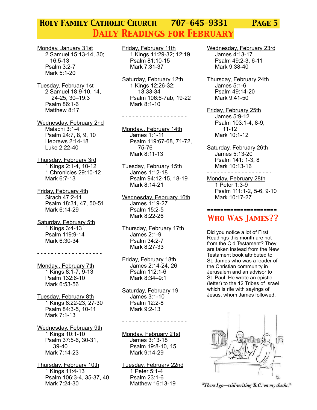# *Holy Family Catholic Church 707-645-9331 Page 5 Daily Readings for February*

Monday, January 31st 2 Samuel 15:13-14, 30; 16:5-13 Psalm 3:2-7 Mark 5:1-20

Tuesday, February 1st 2 Samuel 18:9-10, 14, 24-25, 30–19:3 Psalm 86:1-6 Matthew 8:17

Wednesday, February 2nd Malachi 3:1-4 Psalm 24:7, 8, 9, 10 Hebrews 2:14-18 Luke 2:22-40

Thursday, February 3rd 1 Kings 2:1-4, 10-12 1 Chronicles 29:10-12 Mark 6:7-13

Friday, February 4th Sirach 47:2-11 Psalm 18:31, 47, 50-51 Mark 6:14-29

Saturday, February 5th 1 Kings 3:4-13 Psalm 119:9-14 Mark 6:30-34

Monday,, February 7th 1 Kings 8:1-7, 9-13 Psalm 132:6-10 Mark 6:53-56

- - - - - - - - - - - - - - - - - - -

Tuesday, February 8th 1 Kings 8:22-23, 27-30 Psalm 84:3-5, 10-11 Mark 7:1-13

Wednesday, February 9th 1 Kings 10:1-10 Psalm 37:5-6, 30-31, 39-40 Mark 7:14-23

Thursday, February 10th 1 Kings 11:4-13 Psalm 106:3-4, 35-37, 40 Mark 7:24-30

Friday, February 11th 1 Kings 11:29-32; 12:19 Psalm 81:10-15 Mark 7:31-37

Saturday, February 12th 1 Kings 12:26-32; 13:33-34 Psalm 106:6-7ab, 19-22 Mark 8:1-10

- - - - - - - - - - - - - - - - - - -

Monday,, February 14th James 1:1-11 Psalm 119:67-68, 71-72, 75-76 Mark 8:11-13

Tuesday, February 15th James 1:12-18 Psalm 94:12-15, 18-19 Mark 8:14-21

Wednesday, February 16th James 1:19-27 Psalm 15:2-5 Mark 8:22-26

Thursday, February 17th James 2:1-9 Psalm 34:2-7 Mark 8:27-33

Friday, February 18th James 2:14-24, 26 Psalm 112:1-6 Mark 8:34–9:1

Saturday, February 19 James 3:1-10 Psalm 12:2-8 Mark 9:2-13

- - - - - - - - - - - - - - - - - - -

Monday, February 21st James 3:13-18 Psalm 19:8-10, 15 Mark 9:14-29

Tuesday, February 22nd 1 Peter 5:1-4 Psalm 23:1-6 Matthew 16:13-19

Wednesday, February 23rd James 4:13-17 Psalm 49:2-3, 6-11 Mark 9:38-40

Thursday, February 24th James 5:1-6 Psalm 49:14-20 Mark 9:41-50

Friday, February 25th James 5:9-12 Psalm 103:1-4, 8-9, 11-12 Mark 10:1-12

Saturday, February 26th James 5:13-20 Psalm 141: 1-3, 8 Mark 10:13-16

- - - - - - - - - - - - - - - - - - - Monday, February 28th 1 Peter 1:3-9 Psalm 111:1-2, 5-6, 9-10 Mark 10:17-27

### ==================== *Who Was James??*

Did you notice a lot of First Readings this month are not from the Old Testament? They are taken instead from the New Testament book attributed to St. James who was a leader of the Christian community in Jerusalem and an advisor to St. Paul. He wrote an epistle (letter) to the 12 Tribes of Israel which is rife with sayings of Jesus, whom James followed.



"There I go-still writing 'B.C.' on my checks."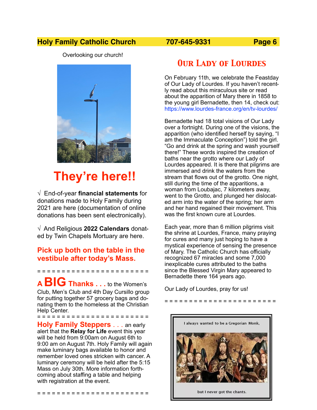## **Holy Family Catholic Church 707-645-9331 Page 6**

Overlooking our church!



# **They're here!!**

√ End-of-year **financial statements** for donations made to Holy Family during 2021 are here (documentation of online donations has been sent electronically).

√ And Religious **2022 Calendars** donated by Twin Chapels Mortuary are here.

### **Pick up both on the table in the vestibule after today's Mass.**

= = = = = = = = = = = = = = = = = = = = = = =

**A BIG Thanks . . .** to the Women's Club, Men's Club and 4th Day Cursillo group for putting together 57 grocery bags and donating them to the homeless at the Christian Help Center. = = = = = = = = = = = = = = = = = = = = = = =

**Holy Family Steppers** . . . an early alert that the **Relay for Life** event this year will be held from 9:00am on August 6th to 9:00 am on August 7th. Holy Family will again make luminary bags available to honor and remember loved ones stricken with cancer. A luminary ceremony will be held after the 5:15 Mass on July 30th. More information forthcoming about staffing a table and helping with registration at the event.

= = = = = = = = = = = = = = = = = = = = = = =

# *Our Lady of Lourdes*

On February 11th, we celebrate the Feastday of Our Lady of Lourdes. If you haven't recently read about this miraculous site or read about the apparition of Mary there in 1858 to the young girl Bernadette, then 14, check out: https://www.lourdes-france.org/en/tv-lourdes/

Bernadette had 18 total visions of Our Lady over a fortnight. During one of the visions, the apparition (who identified herself by saying, "I am the Immaculate Conception") told the girl. "Go and drink at the spring and wash yourself there!" These words inspired the creation of baths near the grotto where our Lady of Lourdes appeared. It is there that pilgrims are immersed and drink the waters from the stream that flows out of the grotto. One night, still during the time of the apparitions. a woman from Loubajac, 7 kilometers away, went to the Grotto, and plunged her dislocated arm into the water of the spring; her arm and her hand regained their movement. This was the first known cure at Lourdes.

Each year, more than 6 million pilgrims visit the shrine at Lourdes, France, many praying for cures and many just hoping to have a mystical experience of sensing the presence of Mary. The Catholic Church has officially recognized 67 miracles and some 7,000 inexplicable cures attributed to the baths since the Blessed Virgin Mary appeared to Bernadette there 164 years ago.

= = = = = = = = = = = = = = = = = = = = = = =

Our Lady of Lourdes, pray for us!



but I never got the chants.